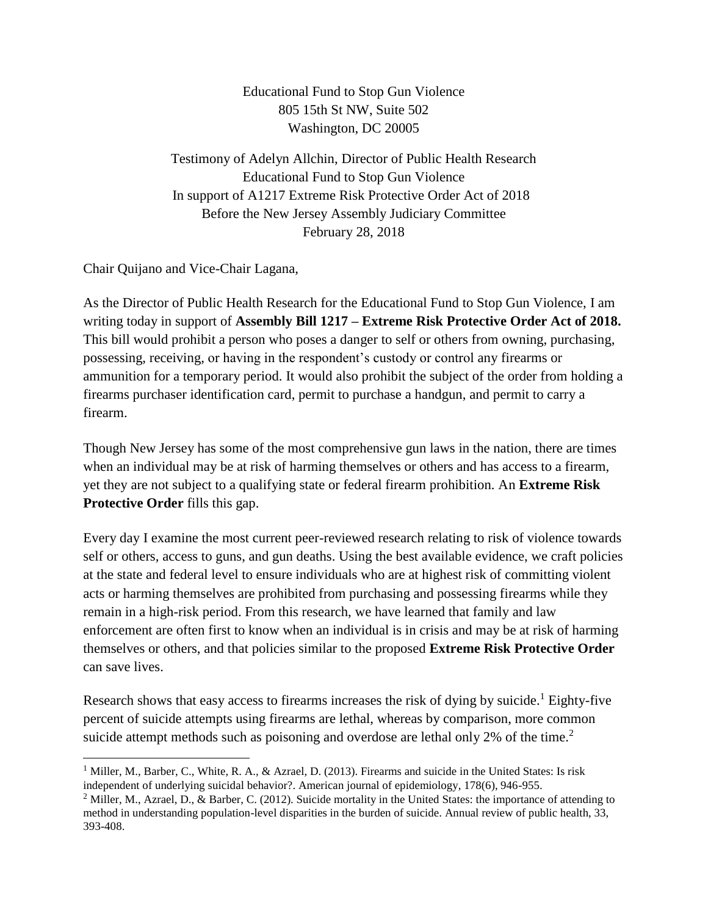Educational Fund to Stop Gun Violence 805 15th St NW, Suite 502 Washington, DC 20005

Testimony of Adelyn Allchin, Director of Public Health Research Educational Fund to Stop Gun Violence In support of A1217 Extreme Risk Protective Order Act of 2018 Before the New Jersey Assembly Judiciary Committee February 28, 2018

Chair Quijano and Vice-Chair Lagana,

 $\overline{a}$ 

As the Director of Public Health Research for the Educational Fund to Stop Gun Violence, I am writing today in support of **Assembly Bill 1217 – Extreme Risk Protective Order Act of 2018.** This bill would prohibit a person who poses a danger to self or others from owning, purchasing, possessing, receiving, or having in the respondent's custody or control any firearms or ammunition for a temporary period. It would also prohibit the subject of the order from holding a firearms purchaser identification card, permit to purchase a handgun, and permit to carry a firearm.

Though New Jersey has some of the most comprehensive gun laws in the nation, there are times when an individual may be at risk of harming themselves or others and has access to a firearm, yet they are not subject to a qualifying state or federal firearm prohibition. An **Extreme Risk Protective Order** fills this gap.

Every day I examine the most current peer-reviewed research relating to risk of violence towards self or others, access to guns, and gun deaths. Using the best available evidence, we craft policies at the state and federal level to ensure individuals who are at highest risk of committing violent acts or harming themselves are prohibited from purchasing and possessing firearms while they remain in a high-risk period. From this research, we have learned that family and law enforcement are often first to know when an individual is in crisis and may be at risk of harming themselves or others, and that policies similar to the proposed **Extreme Risk Protective Order** can save lives.

Research shows that easy access to firearms increases the risk of dying by suicide.<sup>1</sup> Eighty-five percent of suicide attempts using firearms are lethal, whereas by comparison, more common suicide attempt methods such as poisoning and overdose are lethal only 2% of the time.<sup>2</sup>

<sup>&</sup>lt;sup>1</sup> Miller, M., Barber, C., White, R. A., & Azrael, D. (2013). Firearms and suicide in the United States: Is risk independent of underlying suicidal behavior?. American journal of epidemiology, 178(6), 946-955.

<sup>&</sup>lt;sup>2</sup> Miller, M., Azrael, D., & Barber, C. (2012). Suicide mortality in the United States: the importance of attending to method in understanding population-level disparities in the burden of suicide. Annual review of public health, 33, 393-408.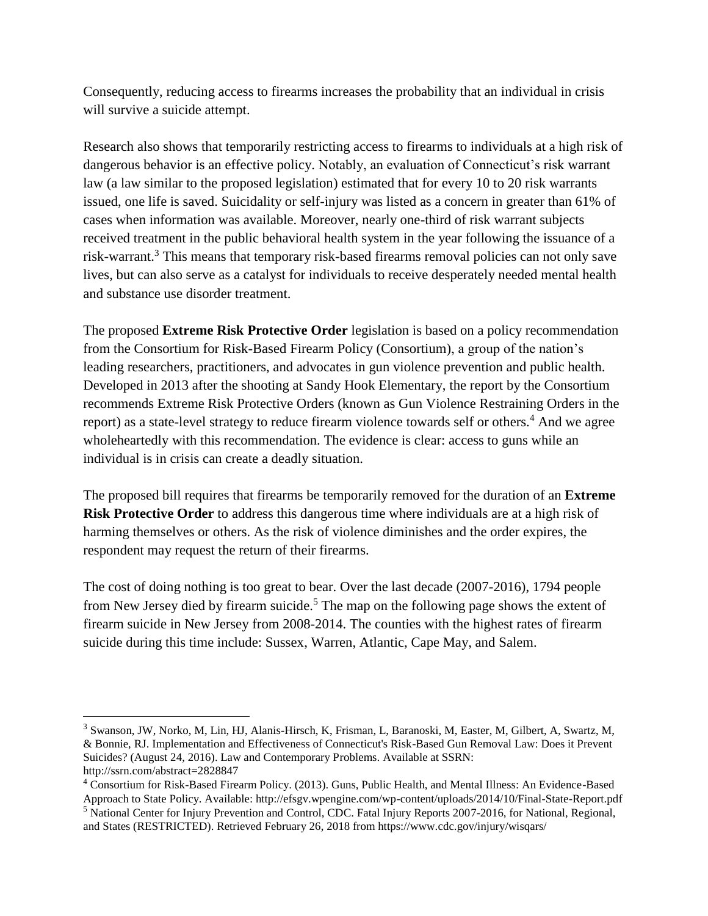Consequently, reducing access to firearms increases the probability that an individual in crisis will survive a suicide attempt.

Research also shows that temporarily restricting access to firearms to individuals at a high risk of dangerous behavior is an effective policy. Notably, an evaluation of Connecticut's risk warrant law (a law similar to the proposed legislation) estimated that for every 10 to 20 risk warrants issued, one life is saved. Suicidality or self-injury was listed as a concern in greater than 61% of cases when information was available. Moreover, nearly one-third of risk warrant subjects received treatment in the public behavioral health system in the year following the issuance of a risk-warrant.<sup>3</sup> This means that temporary risk-based firearms removal policies can not only save lives, but can also serve as a catalyst for individuals to receive desperately needed mental health and substance use disorder treatment.

The proposed **Extreme Risk Protective Order** legislation is based on a policy recommendation from the Consortium for Risk-Based Firearm Policy (Consortium), a group of the nation's leading researchers, practitioners, and advocates in gun violence prevention and public health. Developed in 2013 after the shooting at Sandy Hook Elementary, the report by the Consortium recommends Extreme Risk Protective Orders (known as Gun Violence Restraining Orders in the report) as a state-level strategy to reduce firearm violence towards self or others.<sup>4</sup> And we agree wholeheartedly with this recommendation. The evidence is clear: access to guns while an individual is in crisis can create a deadly situation.

The proposed bill requires that firearms be temporarily removed for the duration of an **Extreme Risk Protective Order** to address this dangerous time where individuals are at a high risk of harming themselves or others. As the risk of violence diminishes and the order expires, the respondent may request the return of their firearms.

The cost of doing nothing is too great to bear. Over the last decade (2007-2016), 1794 people from New Jersey died by firearm suicide.<sup>5</sup> The map on the following page shows the extent of firearm suicide in New Jersey from 2008-2014. The counties with the highest rates of firearm suicide during this time include: Sussex, Warren, Atlantic, Cape May, and Salem.

 $\overline{a}$ 

<sup>3</sup> Swanson, JW, Norko, M, Lin, HJ, Alanis-Hirsch, K, Frisman, L, Baranoski, M, Easter, M, Gilbert, A, Swartz, M, & Bonnie, RJ. Implementation and Effectiveness of Connecticut's Risk-Based Gun Removal Law: Does it Prevent Suicides? (August 24, 2016). Law and Contemporary Problems. Available at SSRN: http://ssrn.com/abstract=2828847

<sup>4</sup> Consortium for Risk-Based Firearm Policy. (2013). Guns, Public Health, and Mental Illness: An Evidence-Based Approach to State Policy. Available: http://efsgv.wpengine.com/wp-content/uploads/2014/10/Final-State-Report.pdf

<sup>5</sup> National Center for Injury Prevention and Control, CDC. Fatal Injury Reports 2007-2016, for National, Regional, and States (RESTRICTED). Retrieved February 26, 2018 from https://www.cdc.gov/injury/wisqars/